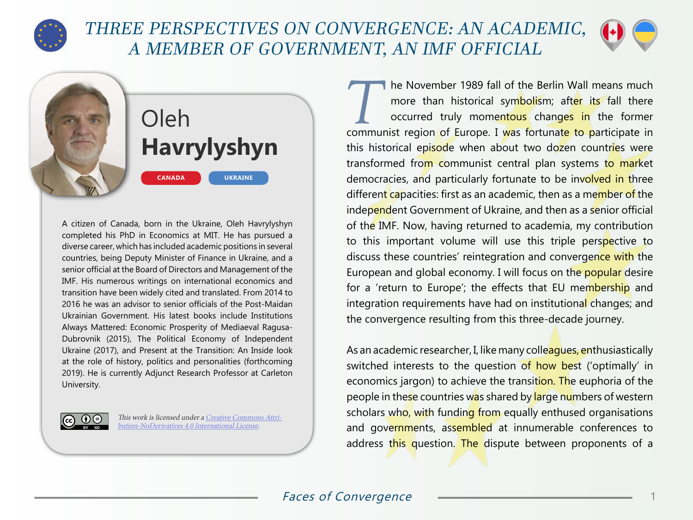

## THREE PERSPECTIVES ON CONVERGENCE: AN ACADEMIC, A MEMBER OF GOVERNMENT, AN IMF OFFICIAL



Oleh **Havrylyshyn CANADA UKRAINE**

A citizen of Canada, born in the Ukraine, Oleh Havrylyshyn completed his PhD in Economics at MIT. He has pursued a diverse career, which has included academic positions in several countries, being Deputy Minister of Finance in Ukraine, and a senior official at the Board of Directors and Management of the IMF. His numerous writings on international economics and transition have been widely cited and translated. From 2014 to 2016 he was an advisor to senior officials of the Post-Maidan Ukrainian Government. His latest books include Institutions Always Mattered: Economic Prosperity of Mediaeval Ragusa-Dubrovnik (2015), The Political Economy of Independent Ukraine (2017), and Present at the Transition: An Inside look at the role of history, politics and personalities (forthcoming 2019). He is currently Adjunct Research Professor at Carleton University.



This work is licensed under a [Creative Commons Attri](https://creativecommons.org/licenses/by-nd/4.0/)[bution-NoDerivatives 4.0 International License](https://creativecommons.org/licenses/by-nd/4.0/).

The November 1989 fall of the Berlin Wall means much more than historical symbolism; after its fall there occurred truly momentous changes in the former more than historical symbolism; after its fall there communist region of Europe. I was fortunate to participate in this historical episode when about two dozen countries were transformed from communist central plan systems to market democracies, and particularly fortunate to be involved in three different capacities: first as an academic, then as a member of the independent Government of Ukraine, and then as a senior official of the IMF. Now, having returned to academia, my contribution to this important volume will use this triple perspective to discuss these countries' reintegration and convergence with the European and global economy. I will focus on the popular desire for a 'return to Europe'; the effects that EU membership and integration requirements have had on institutional changes; and the convergence resulting from this three-decade journey.

As an academic researcher, I, like many colleagues, enthusiastically switched interests to the question of how best ('optimally' in economics jargon) to achieve the transition. The euphoria of the people in these countries was shared by large numbers of western scholars who, with funding from equally enthused organisations and governments, assembled at innumerable conferences to address this question. The dispute between proponents of a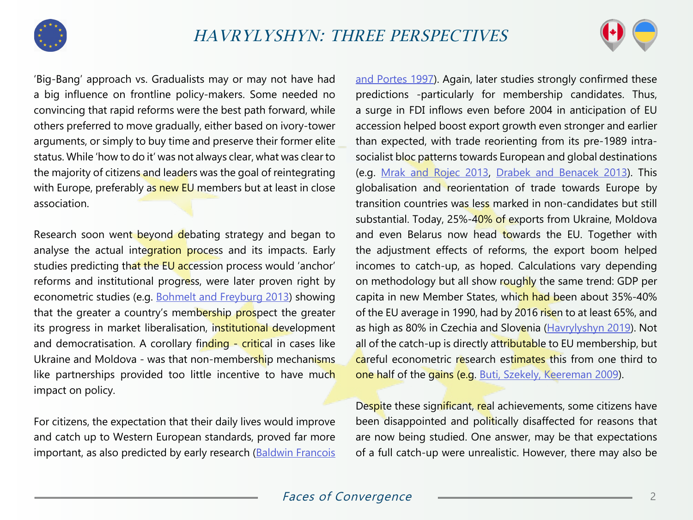



'Big-Bang' approach vs. Gradualists may or may not have had a big influence on frontline policy-makers. Some needed no convincing that rapid reforms were the best path forward, while others preferred to move gradually, either based on ivory-tower arguments, or simply to buy time and preserve their former elite status. While 'how to do it' was not always clear, what was clear to the majority of citizens and leaders was the goal of reintegrating with Europe, preferably as new EU members but at least in close association.

Research soon went beyond debating strategy and began to analyse the actual integration process and its impacts. Early studies predicting that the EU accession process would 'anchor' reforms and institutional progress, were later proven right by econometric studies (e.g. [Bohmelt and Freyburg 2013](https://www.europeansources.info/record/the-temporal-dimension-of-the-credibility-of-eu-conditionality-and-candidate-states-compliance-with-the-acquis-communautaire-1998-2009/)) showing that the greater a country's membership prospect the greater its progress in market liberalisation, institutional development and democratisation. A corollary finding - critical in cases like Ukraine and Moldova - was that non-membership mechanisms like partnerships provided too little incentive to have much impact on policy.

For citizens, the expectation that their daily lives would improve and catch up to Western European standards, proved far more important, as also predicted by early research (Baldwin Francois

[and Portes 1997](https://academic.oup.com/economicpolicy/article-abstract/12/24/125/2366315?redirectedFrom=fulltext)). Again, later studies strongly confirmed these predictions -particularly for membership candidates. Thus, a surge in FDI inflows even before 2004 in anticipation of EU accession helped boost export growth even stronger and earlier than expected, with trade reorienting from its pre-1989 intrasocialist bloc patterns towards European and global destinations (e.g. [Mrak and Rojec 2013](https://www.taylorfrancis.com/books/e/9780203067901), [Drabek and Benacek 2013](https://www.researchgate.net/publication/260067676_Trade_Reorientation_and_Global_Reintegration)). This globalisation and reorientation of trade towards Europe by transition countries was less marked in non-candidates but still substantial. Today, 25%-40% of exports from Ukraine, Moldova and even Belarus now head towards the EU. Together with the adjustment effects of reforms, the export boom helped incomes to catch-up, as hoped. Calculations vary depending on methodology but all show roughly the same trend: GDP per capita in new Member States, which had been about 35%-40% of the EU average in 1990, had by 2016 risen to at least 65%, and as high as 80% in Czechia and Slovenia ([Havrylyshyn 2019\)](https://carleton.ca/eurus/people/oleh-havrylyshyn/). Not all of the catch-up is directly attributable to EU membership, but careful econometric research estimates this from one third to one half of the gains (e.g. [Buti, Szekely, Keereman 2009](https://voxeu.org/article/eu-15-eu-27-impact-enlargement)).

Despite these significant, real achievements, some citizens have been disappointed and politically disaffected for reasons that are now being studied. One answer, may be that expectations of a full catch-up were unrealistic. However, there may also be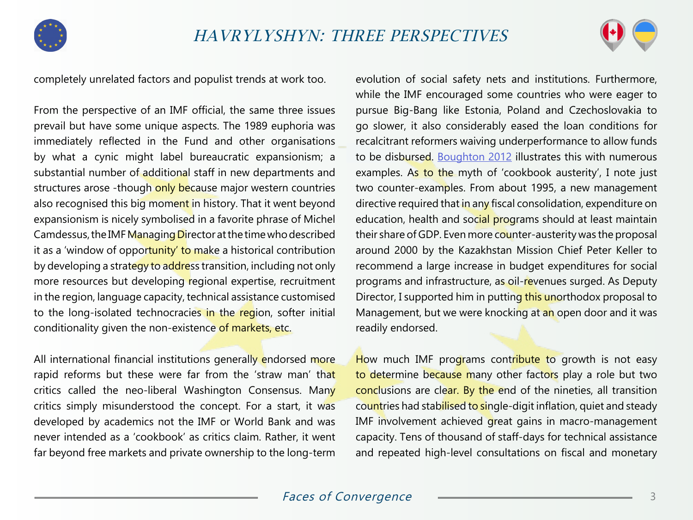



completely unrelated factors and populist trends at work too.

From the perspective of an IMF official, the same three issues prevail but have some unique aspects. The 1989 euphoria was immediately reflected in the Fund and other organisations by what a cynic might label bureaucratic expansionism; a substantial number of additional staff in new departments and structures arose -though only because major western countries also recognised this big moment in history. That it went beyond expansionism is nicely symbolised in a favorite phrase of Michel Camdessus, the IMF Managing Director at the time who described it as a 'window of opportunity' to make a historical contribution by developing a strategy to address transition, including not only more resources but developing regional expertise, recruitment in the region, language capacity, technical assistance customised to the long-isolated technocracies in the region, softer initial conditionality given the non-existence of markets, etc.

All international financial institutions generally endorsed more rapid reforms but these were far from the 'straw man' that critics called the neo-liberal Washington Consensus. Many critics simply misunderstood the concept. For a start, it was developed by academics not the IMF or World Bank and was never intended as a 'cookbook' as critics claim. Rather, it went far beyond free markets and private ownership to the long-term

evolution of social safety nets and institutions. Furthermore, while the IMF encouraged some countries who were eager to pursue Big-Bang like Estonia, Poland and Czechoslovakia to go slower, it also considerably eased the loan conditions for recalcitrant reformers waiving underperformance to allow funds to be disbursed. [Boughton 2012](https://www.elibrary.imf.org/view/IMF071/11600-9781616350840/11600-9781616350840/front.xml?redirect=true&redirect=true) illustrates this with numerous examples. As to the myth of 'cookbook austerity', I note just two counter-examples. From about 1995, a new management directive required that in any fiscal consolidation, expenditure on education, health and social programs should at least maintain their share of GDP. Even more counter-austerity was the proposal around 2000 by the Kazakhstan Mission Chief Peter Keller to recommend a large increase in budget expenditures for social programs and infrastructure, as oil-revenues surged. As Deputy Director, I supported him in putting this unorthodox proposal to Management, but we were knocking at an open door and it was readily endorsed.

How much IMF programs contribute to growth is not easy to determine because many other factors play a role but two conclusions are clear. By the end of the nineties, all transition countries had stabilised to single-digit inflation, quiet and steady IMF involvement achieved great gains in macro-management capacity. Tens of thousand of staff-days for technical assistance and repeated high-level consultations on fiscal and monetary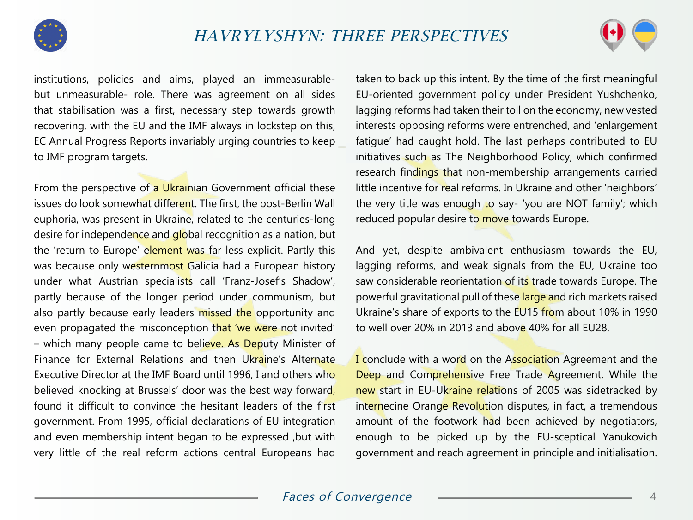



institutions, policies and aims, played an immeasurablebut unmeasurable- role. There was agreement on all sides that stabilisation was a first, necessary step towards growth recovering, with the EU and the IMF always in lockstep on this, EC Annual Progress Reports invariably urging countries to keep to IMF program targets.

From the perspective of a Ukrainian Government official these issues do look somewhat different. The first, the post-Berlin Wall euphoria, was present in Ukraine, related to the centuries-long desire for independence and global recognition as a nation, but the 'return to Europe' element was far less explicit. Partly this was because only westernmost Galicia had a European history under what Austrian specialists call 'Franz-Josef's Shadow', partly because of the longer period under communism, but also partly because early leaders missed the opportunity and even propagated the misconception that 'we were not invited' – which many people came to believe. As Deputy Minister of Finance for External Relations and then Ukraine's Alternate Executive Director at the IMF Board until 1996, I and others who believed knocking at Brussels' door was the best way forward, found it difficult to convince the hesitant leaders of the first government. From 1995, official declarations of EU integration and even membership intent began to be expressed ,but with very little of the real reform actions central Europeans had

taken to back up this intent. By the time of the first meaningful EU-oriented government policy under President Yushchenko, lagging reforms had taken their toll on the economy, new vested interests opposing reforms were entrenched, and 'enlargement fatigue' had caught hold. The last perhaps contributed to EU initiatives such as The Neighborhood Policy, which confirmed research findings that non-membership arrangements carried little incentive for real reforms. In Ukraine and other 'neighbors' the very title was enough to say- 'you are NOT family'; which reduced popular desire to move towards Europe.

And yet, despite ambivalent enthusiasm towards the EU, lagging reforms, and weak signals from the EU, Ukraine too saw considerable reorientation of its trade towards Europe. The powerful gravitational pull of these large and rich markets raised Ukraine's share of exports to the EU15 from about 10% in 1990 to well over 20% in 2013 and above 40% for all EU28.

I conclude with a word on the Association Agreement and the Deep and Comprehensive Free Trade Agreement. While the new start in EU-Ukraine relations of 2005 was sidetracked by internecine Orange Revolution disputes, in fact, a tremendous amount of the footwork had been achieved by negotiators, enough to be picked up by the EU-sceptical Yanukovich government and reach agreement in principle and initialisation.